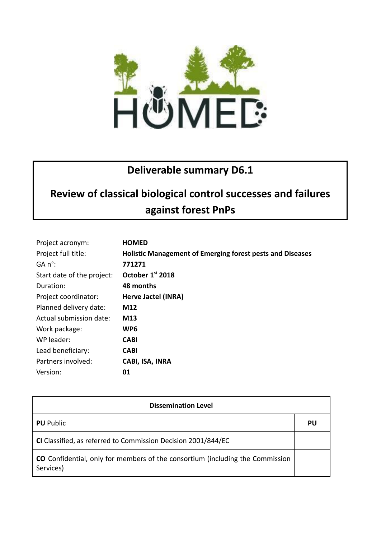

## **Deliverable summary D6.1**

## **Review of classical biological control successes and failures against forest PnPs**

| Project acronym:           | <b>HOMED</b>                                                     |
|----------------------------|------------------------------------------------------------------|
| Project full title:        | <b>Holistic Management of Emerging forest pests and Diseases</b> |
| GA n°:                     | 771271                                                           |
| Start date of the project: | October 1st 2018                                                 |
| Duration:                  | 48 months                                                        |
| Project coordinator:       | Herve Jactel (INRA)                                              |
| Planned delivery date:     | M12                                                              |
| Actual submission date:    | M13                                                              |
| Work package:              | WP <sub>6</sub>                                                  |
| WP leader:                 | <b>CABI</b>                                                      |
| Lead beneficiary:          | <b>CABI</b>                                                      |
| Partners involved:         | CABI, ISA, INRA                                                  |
| Version:                   | 01                                                               |

| <b>Dissemination Level</b>                                                                 |    |  |
|--------------------------------------------------------------------------------------------|----|--|
| <b>PU</b> Public                                                                           | PU |  |
| CI Classified, as referred to Commission Decision 2001/844/EC                              |    |  |
| CO Confidential, only for members of the consortium (including the Commission<br>Services) |    |  |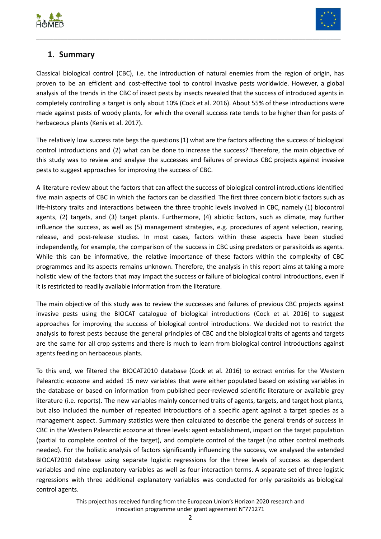



## **1. Summary**

Classical biological control (CBC), i.e. the introduction of natural enemies from the region of origin, has proven to be an efficient and cost-effective tool to control invasive pests worldwide. However, a global analysis of the trends in the CBC of insect pests by insects revealed that the success of introduced agents in completely controlling a target is only about 10% (Cock et al. 2016). About 55% of these introductions were made against pests of woody plants, for which the overall success rate tends to be higher than for pests of herbaceous plants (Kenis et al. 2017).

\_\_\_\_\_\_\_\_\_\_\_\_\_\_\_\_\_\_\_\_\_\_\_\_\_\_\_\_\_\_\_\_\_\_\_\_\_\_\_\_\_\_\_\_\_\_\_\_\_\_\_\_\_\_\_\_\_\_\_\_\_\_\_\_\_\_\_\_\_\_\_\_\_\_\_\_\_\_\_\_\_\_\_\_\_\_\_

The relatively low success rate begs the questions (1) what are the factors affecting the success of biological control introductions and (2) what can be done to increase the success? Therefore, the main objective of this study was to review and analyse the successes and failures of previous CBC projects against invasive pests to suggest approaches for improving the success of CBC.

A literature review about the factors that can affect the success of biological control introductions identified five main aspects of CBC in which the factors can be classified. The first three concern biotic factors such as life-history traits and interactions between the three trophic levels involved in CBC, namely (1) biocontrol agents, (2) targets, and (3) target plants. Furthermore, (4) abiotic factors, such as climate, may further influence the success, as well as (5) management strategies, e.g. procedures of agent selection, rearing, release, and post-release studies. In most cases, factors within these aspects have been studied independently, for example, the comparison of the success in CBC using predators or parasitoids as agents. While this can be informative, the relative importance of these factors within the complexity of CBC programmes and its aspects remains unknown. Therefore, the analysis in this report aims at taking a more holistic view of the factors that may impact the success or failure of biological control introductions, even if it is restricted to readily available information from the literature.

The main objective of this study was to review the successes and failures of previous CBC projects against invasive pests using the BIOCAT catalogue of biological introductions (Cock et al. 2016) to suggest approaches for improving the success of biological control introductions. We decided not to restrict the analysis to forest pests because the general principles of CBC and the biological traits of agents and targets are the same for all crop systems and there is much to learn from biological control introductions against agents feeding on herbaceous plants.

To this end, we filtered the BIOCAT2010 database (Cock et al. 2016) to extract entries for the Western Palearctic ecozone and added 15 new variables that were either populated based on existing variables in the database or based on information from published peer-reviewed scientific literature or available grey literature (i.e. reports). The new variables mainly concerned traits of agents, targets, and target host plants, but also included the number of repeated introductions of a specific agent against a target species as a management aspect. Summary statistics were then calculated to describe the general trends of success in CBC in the Western Palearctic ecozone at three levels: agent establishment, impact on the target population (partial to complete control of the target), and complete control of the target (no other control methods needed). For the holistic analysis of factors significantly influencing the success, we analysed the extended BIOCAT2010 database using separate logistic regressions for the three levels of success as dependent variables and nine explanatory variables as well as four interaction terms. A separate set of three logistic regressions with three additional explanatory variables was conducted for only parasitoids as biological control agents.